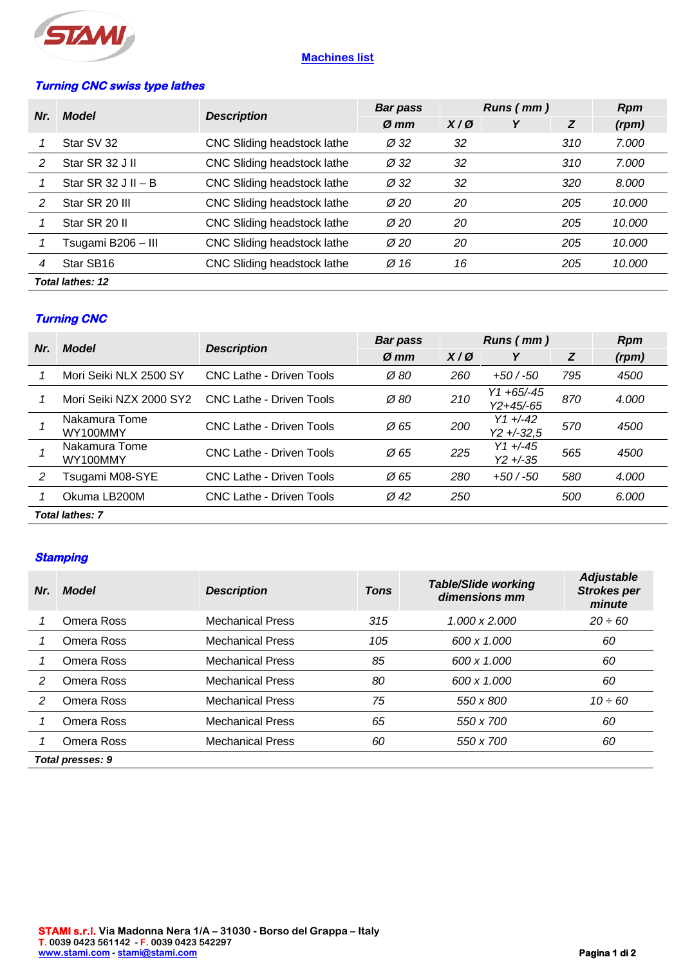

# **Machines list**

## **Turning CNC swiss type lathes**

| Nr.                     | <b>Model</b>          | <b>Description</b>          | <b>Bar pass</b>  | Runs (mm)     |  | <b>Rpm</b> |        |
|-------------------------|-----------------------|-----------------------------|------------------|---------------|--|------------|--------|
|                         |                       |                             | $\varnothing$ mm | $X/\emptyset$ |  | Z          | (rpm)  |
|                         | Star SV 32            | CNC Sliding headstock lathe | $\varnothing$ 32 | 32            |  | 310        | 7.000  |
| 2                       | Star SR 32 J II       | CNC Sliding headstock lathe | $\varnothing$ 32 | 32            |  | 310        | 7.000  |
|                         | Star SR $32$ J II – B | CNC Sliding headstock lathe | $\varnothing$ 32 | 32            |  | 320        | 8.000  |
| $\mathcal{P}$           | Star SR 20 III        | CNC Sliding headstock lathe | $\varnothing$ 20 | 20            |  | 205        | 10.000 |
|                         | Star SR 20 II         | CNC Sliding headstock lathe | $\varnothing$ 20 | 20            |  | 205        | 10.000 |
|                         | Tsugami B206 - III    | CNC Sliding headstock lathe | $\varnothing$ 20 | 20            |  | 205        | 10.000 |
| 4                       | Star SB16             | CNC Sliding headstock lathe | Ø 16             | 16            |  | 205        | 10.000 |
| <b>Total lathes: 12</b> |                       |                             |                  |               |  |            |        |

## **Turning CNC**

| Nr.                    | <b>Description</b><br>Model | <b>Bar pass</b>                 | Runs (mm)        |               |                                    | <b>Rpm</b> |       |
|------------------------|-----------------------------|---------------------------------|------------------|---------------|------------------------------------|------------|-------|
|                        |                             |                                 | $\varnothing$ mm | $X/\emptyset$ | Υ                                  | Z          | (rpm) |
|                        | Mori Seiki NLX 2500 SY      | <b>CNC Lathe - Driven Tools</b> | $\varnothing$ 80 | 260           | $+50/ -50$                         | 795        | 4500  |
|                        | Mori Seiki NZX 2000 SY2     | CNC Lathe - Driven Tools        | Ø 80             | 210           | $Y1 + 65/ - 45$<br>$Y2 + 45/ - 65$ | 870        | 4.000 |
|                        | Nakamura Tome<br>WY100MMY   | CNC Lathe - Driven Tools        | $\varnothing$ 65 | 200           | $Y1 + (-42)$<br>$Y2 + -32.5$       | 570        | 4500  |
|                        | Nakamura Tome<br>WY100MMY   | CNC Lathe - Driven Tools        | Ø 65             | 225           | $Y1 + (-45)$<br>$Y2 + -35$         | 565        | 4500  |
| 2                      | Tsugami M08-SYE             | <b>CNC Lathe - Driven Tools</b> | $\varnothing$ 65 | 280           | $+50/ -50$                         | 580        | 4.000 |
|                        | Okuma LB200M                | <b>CNC Lathe - Driven Tools</b> | $\varnothing$ 42 | 250           |                                    | 500        | 6.000 |
| <b>Total lathes: 7</b> |                             |                                 |                  |               |                                    |            |       |

#### **Stamping**

| Nr.              | Model      | <b>Description</b>      | <b>Tons</b> | <b>Table/Slide working</b><br>dimensions mm | <b>Adjustable</b><br><b>Strokes per</b><br>minute |  |  |
|------------------|------------|-------------------------|-------------|---------------------------------------------|---------------------------------------------------|--|--|
|                  | Omera Ross | <b>Mechanical Press</b> | 315         | 1.000 x 2.000                               | $20 \div 60$                                      |  |  |
|                  | Omera Ross | <b>Mechanical Press</b> | 105         | 600 x 1.000                                 | 60                                                |  |  |
|                  | Omera Ross | <b>Mechanical Press</b> | 85          | 600 x 1.000                                 | 60                                                |  |  |
| 2                | Omera Ross | <b>Mechanical Press</b> | 80          | 600 x 1.000                                 | 60                                                |  |  |
| 2                | Omera Ross | <b>Mechanical Press</b> | 75          | 550 x 800                                   | $10 \div 60$                                      |  |  |
|                  | Omera Ross | <b>Mechanical Press</b> | 65          | 550 x 700                                   | 60                                                |  |  |
|                  | Omera Ross | <b>Mechanical Press</b> | 60          | 550 x 700                                   | 60                                                |  |  |
| Total presses: 9 |            |                         |             |                                             |                                                   |  |  |